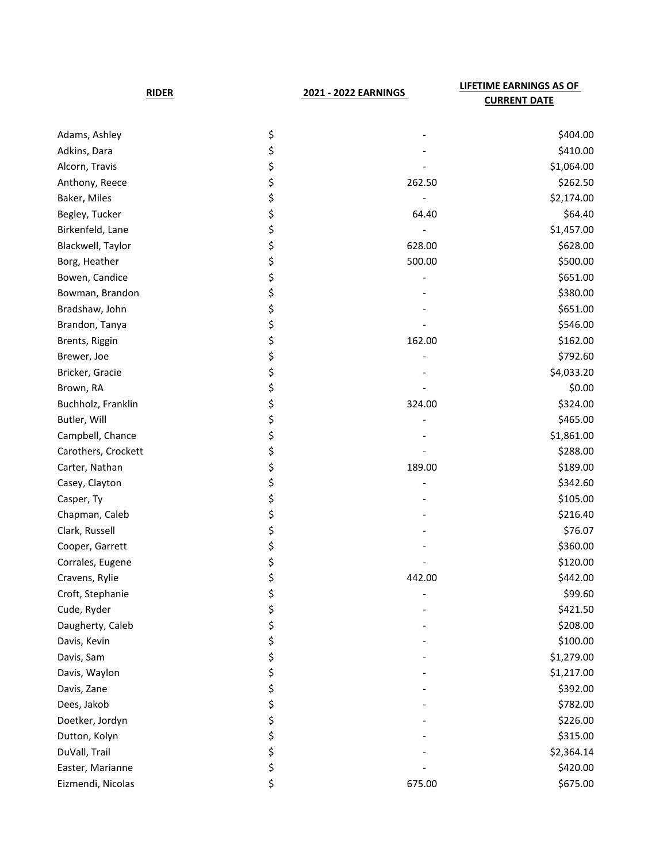| <b>RIDER</b>        |    | 2021 - 2022 EARNINGS | <b>LIFETIME EARNINGS AS OF</b><br><b>CURRENT DATE</b> |  |
|---------------------|----|----------------------|-------------------------------------------------------|--|
| Adams, Ashley       | \$ |                      | \$404.00                                              |  |
| Adkins, Dara        | \$ |                      | \$410.00                                              |  |
| Alcorn, Travis      | \$ |                      | \$1,064.00                                            |  |
| Anthony, Reece      | \$ | 262.50               | \$262.50                                              |  |
| Baker, Miles        | \$ |                      | \$2,174.00                                            |  |
| Begley, Tucker      | \$ | 64.40                | \$64.40                                               |  |
| Birkenfeld, Lane    | \$ |                      | \$1,457.00                                            |  |
| Blackwell, Taylor   | \$ | 628.00               | \$628.00                                              |  |
| Borg, Heather       | \$ | 500.00               | \$500.00                                              |  |
| Bowen, Candice      | \$ |                      | \$651.00                                              |  |
| Bowman, Brandon     | \$ |                      | \$380.00                                              |  |
| Bradshaw, John      | \$ |                      | \$651.00                                              |  |
| Brandon, Tanya      | \$ |                      | \$546.00                                              |  |
| Brents, Riggin      | \$ | 162.00               | \$162.00                                              |  |
| Brewer, Joe         | \$ |                      | \$792.60                                              |  |
| Bricker, Gracie     | \$ |                      | \$4,033.20                                            |  |
| Brown, RA           | \$ |                      | \$0.00                                                |  |
| Buchholz, Franklin  | \$ | 324.00               | \$324.00                                              |  |
| Butler, Will        | \$ |                      | \$465.00                                              |  |
| Campbell, Chance    | \$ |                      | \$1,861.00                                            |  |
| Carothers, Crockett | \$ |                      | \$288.00                                              |  |
| Carter, Nathan      | \$ | 189.00               | \$189.00                                              |  |
| Casey, Clayton      | \$ |                      | \$342.60                                              |  |
| Casper, Ty          | \$ |                      | \$105.00                                              |  |
| Chapman, Caleb      | \$ |                      | \$216.40                                              |  |
| Clark, Russell      | \$ |                      | \$76.07                                               |  |
| Cooper, Garrett     | \$ |                      | \$360.00                                              |  |
| Corrales, Eugene    | \$ |                      | \$120.00                                              |  |
| Cravens, Rylie      | \$ | 442.00               | \$442.00                                              |  |
| Croft, Stephanie    | \$ |                      | \$99.60                                               |  |
| Cude, Ryder         | \$ |                      | \$421.50                                              |  |
| Daugherty, Caleb    | \$ |                      | \$208.00                                              |  |
| Davis, Kevin        | \$ |                      | \$100.00                                              |  |
| Davis, Sam          | \$ |                      | \$1,279.00                                            |  |
| Davis, Waylon       | \$ |                      | \$1,217.00                                            |  |
| Davis, Zane         | \$ |                      | \$392.00                                              |  |
| Dees, Jakob         | \$ |                      | \$782.00                                              |  |
| Doetker, Jordyn     | \$ |                      | \$226.00                                              |  |
| Dutton, Kolyn       | \$ |                      | \$315.00                                              |  |
| DuVall, Trail       | \$ |                      | \$2,364.14                                            |  |
| Easter, Marianne    | \$ |                      | \$420.00                                              |  |
| Eizmendi, Nicolas   | \$ | 675.00               | \$675.00                                              |  |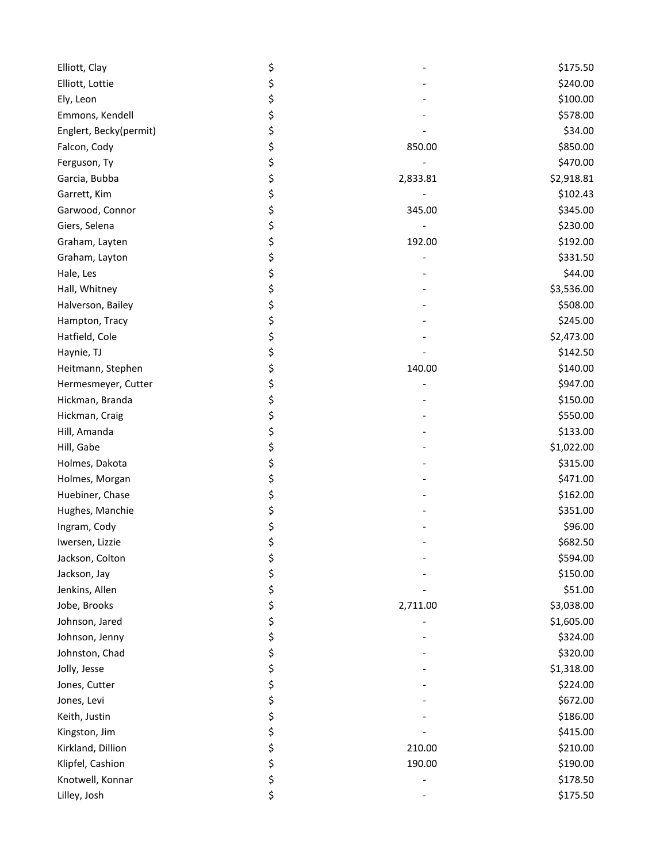| Elliott, Clay          | \$             | \$175.50   |
|------------------------|----------------|------------|
| Elliott, Lottie        | \$             | \$240.00   |
| Ely, Leon              | \$             | \$100.00   |
| Emmons, Kendell        | \$             | \$578.00   |
| Englert, Becky(permit) | \$             | \$34.00    |
| Falcon, Cody           | \$<br>850.00   | \$850.00   |
| Ferguson, Ty           | \$             | \$470.00   |
| Garcia, Bubba          | \$<br>2,833.81 | \$2,918.81 |
| Garrett, Kim           | \$             | \$102.43   |
| Garwood, Connor        | \$<br>345.00   | \$345.00   |
| Giers, Selena          | \$             | \$230.00   |
| Graham, Layten         | \$<br>192.00   | \$192.00   |
| Graham, Layton         | \$             | \$331.50   |
| Hale, Les              | \$             | \$44.00    |
| Hall, Whitney          | \$             | \$3,536.00 |
| Halverson, Bailey      | \$             | \$508.00   |
| Hampton, Tracy         | \$             | \$245.00   |
| Hatfield, Cole         | \$             | \$2,473.00 |
| Haynie, TJ             | \$             | \$142.50   |
| Heitmann, Stephen      | \$<br>140.00   | \$140.00   |
| Hermesmeyer, Cutter    | \$             | \$947.00   |
| Hickman, Branda        | \$             | \$150.00   |
| Hickman, Craig         | \$             | \$550.00   |
| Hill, Amanda           | \$             | \$133.00   |
| Hill, Gabe             | \$             | \$1,022.00 |
| Holmes, Dakota         | \$             | \$315.00   |
| Holmes, Morgan         | \$             | \$471.00   |
| Huebiner, Chase        | \$             | \$162.00   |
| Hughes, Manchie        | \$             | \$351.00   |
| Ingram, Cody           | \$             | \$96.00    |
| Iwersen, Lizzie        | \$             | \$682.50   |
| Jackson, Colton        | \$             | \$594.00   |
| Jackson, Jay           | \$             | \$150.00   |
| Jenkins, Allen         | \$             | \$51.00    |
| Jobe, Brooks           | \$<br>2,711.00 | \$3,038.00 |
| Johnson, Jared         | \$             | \$1,605.00 |
| Johnson, Jenny         | \$             | \$324.00   |
| Johnston, Chad         | \$             | \$320.00   |
| Jolly, Jesse           | \$             | \$1,318.00 |
| Jones, Cutter          | \$             | \$224.00   |
| Jones, Levi            | \$             | \$672.00   |
| Keith, Justin          | \$             | \$186.00   |
| Kingston, Jim          | \$             | \$415.00   |
| Kirkland, Dillion      | \$<br>210.00   | \$210.00   |
| Klipfel, Cashion       | \$<br>190.00   | \$190.00   |
| Knotwell, Konnar       | \$             | \$178.50   |
| Lilley, Josh           | \$             | \$175.50   |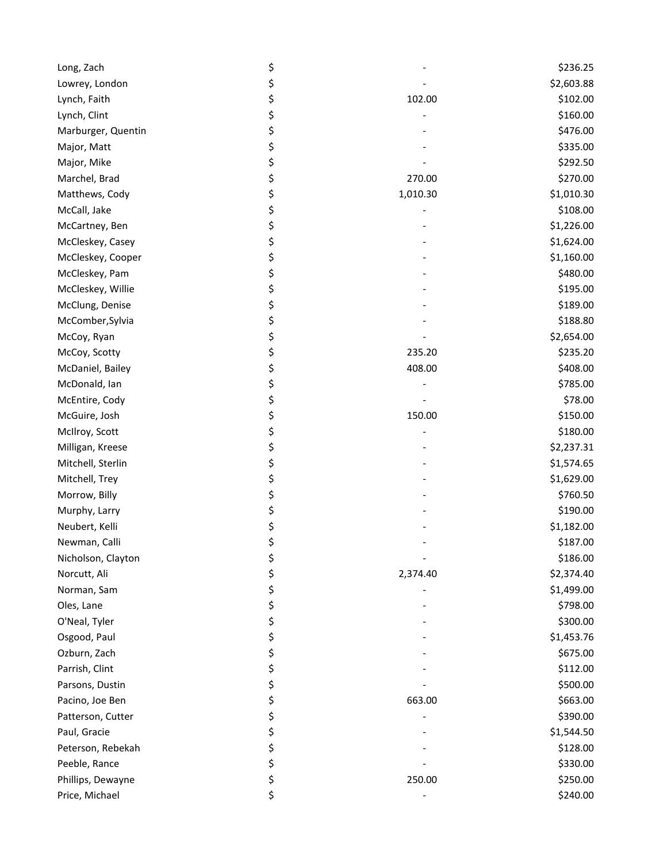| Long, Zach         | \$             | \$236.25   |
|--------------------|----------------|------------|
| Lowrey, London     | \$             | \$2,603.88 |
| Lynch, Faith       | \$<br>102.00   | \$102.00   |
| Lynch, Clint       | \$             | \$160.00   |
| Marburger, Quentin | \$             | \$476.00   |
| Major, Matt        | \$             | \$335.00   |
| Major, Mike        | \$             | \$292.50   |
| Marchel, Brad      | \$<br>270.00   | \$270.00   |
| Matthews, Cody     | \$<br>1,010.30 | \$1,010.30 |
| McCall, Jake       | \$             | \$108.00   |
| McCartney, Ben     | \$             | \$1,226.00 |
| McCleskey, Casey   | \$             | \$1,624.00 |
| McCleskey, Cooper  | \$             | \$1,160.00 |
| McCleskey, Pam     | \$             | \$480.00   |
| McCleskey, Willie  | \$             | \$195.00   |
| McClung, Denise    | \$             | \$189.00   |
| McComber, Sylvia   | \$             | \$188.80   |
| McCoy, Ryan        | \$             | \$2,654.00 |
| McCoy, Scotty      | \$<br>235.20   | \$235.20   |
| McDaniel, Bailey   | \$<br>408.00   | \$408.00   |
| McDonald, Ian      | \$             | \$785.00   |
| McEntire, Cody     | \$             | \$78.00    |
| McGuire, Josh      | \$<br>150.00   | \$150.00   |
| McIlroy, Scott     | \$             | \$180.00   |
| Milligan, Kreese   | \$             | \$2,237.31 |
| Mitchell, Sterlin  | \$             | \$1,574.65 |
| Mitchell, Trey     | \$             | \$1,629.00 |
| Morrow, Billy      | \$             | \$760.50   |
| Murphy, Larry      | \$             | \$190.00   |
| Neubert, Kelli     | \$             | \$1,182.00 |
| Newman, Calli      | \$             | \$187.00   |
| Nicholson, Clayton | \$             | \$186.00   |
| Norcutt, Ali       | \$<br>2,374.40 | \$2,374.40 |
| Norman, Sam        | \$             | \$1,499.00 |
| Oles, Lane         | \$             | \$798.00   |
| O'Neal, Tyler      | \$             | \$300.00   |
| Osgood, Paul       | \$             | \$1,453.76 |
| Ozburn, Zach       | \$             | \$675.00   |
| Parrish, Clint     | \$             | \$112.00   |
| Parsons, Dustin    | \$             | \$500.00   |
| Pacino, Joe Ben    | \$<br>663.00   | \$663.00   |
| Patterson, Cutter  | \$             | \$390.00   |
| Paul, Gracie       | \$             | \$1,544.50 |
| Peterson, Rebekah  | \$             | \$128.00   |
| Peeble, Rance      | \$             | \$330.00   |
| Phillips, Dewayne  | \$<br>250.00   | \$250.00   |
| Price, Michael     | \$             | \$240.00   |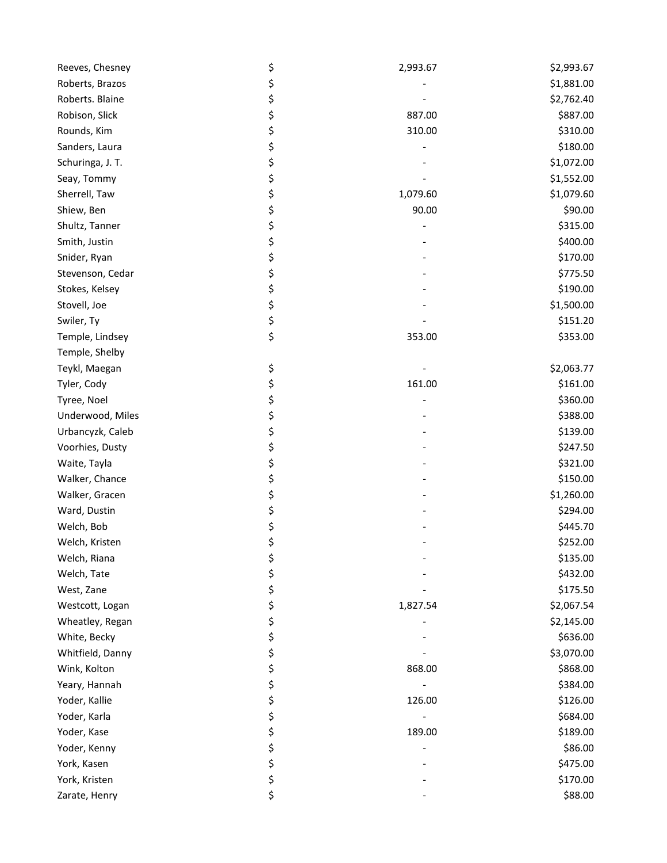| Reeves, Chesney  | \$<br>2,993.67 | \$2,993.67 |
|------------------|----------------|------------|
| Roberts, Brazos  | \$             | \$1,881.00 |
| Roberts. Blaine  | \$             | \$2,762.40 |
| Robison, Slick   | \$<br>887.00   | \$887.00   |
| Rounds, Kim      | \$<br>310.00   | \$310.00   |
| Sanders, Laura   | \$             | \$180.00   |
| Schuringa, J. T. | \$             | \$1,072.00 |
| Seay, Tommy      | \$             | \$1,552.00 |
| Sherrell, Taw    | \$<br>1,079.60 | \$1,079.60 |
| Shiew, Ben       | \$<br>90.00    | \$90.00    |
| Shultz, Tanner   | \$             | \$315.00   |
| Smith, Justin    | \$             | \$400.00   |
| Snider, Ryan     | \$             | \$170.00   |
| Stevenson, Cedar | \$             | \$775.50   |
| Stokes, Kelsey   | \$             | \$190.00   |
| Stovell, Joe     | \$             | \$1,500.00 |
| Swiler, Ty       | \$             | \$151.20   |
| Temple, Lindsey  | \$<br>353.00   | \$353.00   |
| Temple, Shelby   |                |            |
| Teykl, Maegan    | \$             | \$2,063.77 |
| Tyler, Cody      | \$<br>161.00   | \$161.00   |
| Tyree, Noel      | \$             | \$360.00   |
| Underwood, Miles | \$             | \$388.00   |
| Urbancyzk, Caleb | \$             | \$139.00   |
| Voorhies, Dusty  | \$             | \$247.50   |
| Waite, Tayla     | \$             | \$321.00   |
| Walker, Chance   | \$             | \$150.00   |
| Walker, Gracen   | \$             | \$1,260.00 |
| Ward, Dustin     | \$             | \$294.00   |
| Welch, Bob       | \$             | \$445.70   |
| Welch, Kristen   | \$             | \$252.00   |
| Welch, Riana     | \$             | \$135.00   |
| Welch, Tate      | \$             | \$432.00   |
| West, Zane       | \$             | \$175.50   |
| Westcott, Logan  | \$<br>1,827.54 | \$2,067.54 |
| Wheatley, Regan  | \$             | \$2,145.00 |
| White, Becky     | \$             | \$636.00   |
| Whitfield, Danny | \$             | \$3,070.00 |
| Wink, Kolton     | \$<br>868.00   | \$868.00   |
| Yeary, Hannah    | \$             | \$384.00   |
| Yoder, Kallie    | \$<br>126.00   | \$126.00   |
| Yoder, Karla     | \$             | \$684.00   |
| Yoder, Kase      | \$<br>189.00   | \$189.00   |
| Yoder, Kenny     | \$             | \$86.00    |
| York, Kasen      | \$             | \$475.00   |
| York, Kristen    | \$             | \$170.00   |
| Zarate, Henry    | \$             | \$88.00    |